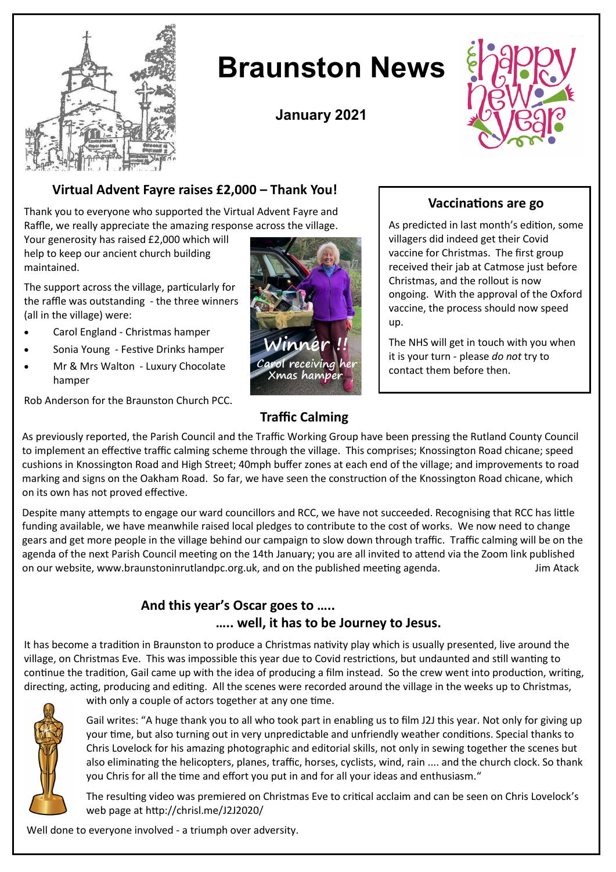

# **Braunston News**

**January 2021**



## **Virtual Advent Fayre raises £2,000 – Thank You!**

Thank you to everyone who supported the Virtual Advent Fayre and Raffle, we really appreciate the amazing response across the village.

Your generosity has raised £2,000 which will help to keep our ancient church building maintained.

The support across the village, particularly for the raffle was outstanding - the three winners (all in the village) were:

- Carol England Christmas hamper
- Sonia Young Festive Drinks hamper
- Mr & Mrs Walton Luxury Chocolate hamper

Winner Carol receiving her Xmas hamper

## **Vaccinations are go**

As predicted in last month's edition, some villagers did indeed get their Covid vaccine for Christmas. The first group received their jab at Catmose just before Christmas, and the rollout is now ongoing. With the approval of the Oxford vaccine, the process should now speed up.

The NHS will get in touch with you when it is your turn - please *do not* try to contact them before then.

Rob Anderson for the Braunston Church PCC.

## **Traffic Calming**

As previously reported, the Parish Council and the Traffic Working Group have been pressing the Rutland County Council to implement an effective traffic calming scheme through the village. This comprises; Knossington Road chicane; speed cushions in Knossington Road and High Street; 40mph buffer zones at each end of the village; and improvements to road marking and signs on the Oakham Road. So far, we have seen the construction of the Knossington Road chicane, which on its own has not proved effective.

Despite many attempts to engage our ward councillors and RCC, we have not succeeded. Recognising that RCC has little funding available, we have meanwhile raised local pledges to contribute to the cost of works. We now need to change gears and get more people in the village behind our campaign to slow down through traffic. Traffic calming will be on the agenda of the next Parish Council meeting on the 14th January; you are all invited to attend via the Zoom link published on our website, www.braunstoninrutlandpc.org.uk, and on the published meeting agenda. Jim Atack

### **And this year's Oscar goes to ….. ….. well, it has to be Journey to Jesus.**

It has become a tradition in Braunston to produce a Christmas nativity play which is usually presented, live around the village, on Christmas Eve. This was impossible this year due to Covid restrictions, but undaunted and still wanting to continue the tradition, Gail came up with the idea of producing a film instead. So the crew went into production, writing, directing, acting, producing and editing. All the scenes were recorded around the village in the weeks up to Christmas,



with only a couple of actors together at any one time.

Gail writes: "A huge thank you to all who took part in enabling us to film J2J this year. Not only for giving up your time, but also turning out in very unpredictable and unfriendly weather conditions. Special thanks to Chris Lovelock for his amazing photographic and editorial skills, not only in sewing together the scenes but also eliminating the helicopters, planes, traffic, horses, cyclists, wind, rain .... and the church clock. So thank you Chris for all the time and effort you put in and for all your ideas and enthusiasm."

The resulting video was premiered on Christmas Eve to critical acclaim and can be seen on Chris Lovelock's web page at http://chrisl.me/J2J2020/

Well done to everyone involved - a triumph over adversity.